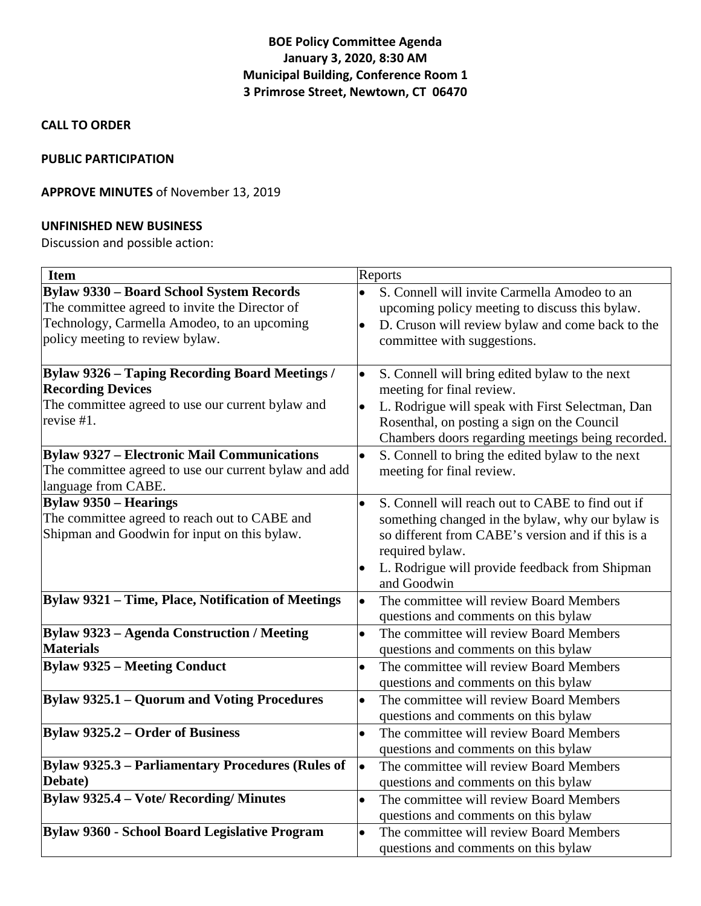# **BOE Policy Committee Agenda January 3, 2020, 8:30 AM Municipal Building, Conference Room 1 3 Primrose Street, Newtown, CT 06470**

### **CALL TO ORDER**

## **PUBLIC PARTICIPATION**

## **APPROVE MINUTES** of November 13, 2019

### **UNFINISHED NEW BUSINESS**

Discussion and possible action:

| <b>Item</b>                                              | Reports                                                       |
|----------------------------------------------------------|---------------------------------------------------------------|
| <b>Bylaw 9330 - Board School System Records</b>          | S. Connell will invite Carmella Amodeo to an                  |
| The committee agreed to invite the Director of           | upcoming policy meeting to discuss this bylaw.                |
| Technology, Carmella Amodeo, to an upcoming              | D. Cruson will review bylaw and come back to the<br>$\bullet$ |
| policy meeting to review bylaw.                          | committee with suggestions.                                   |
|                                                          |                                                               |
| <b>Bylaw 9326 - Taping Recording Board Meetings /</b>    | S. Connell will bring edited bylaw to the next<br>$\bullet$   |
| <b>Recording Devices</b>                                 | meeting for final review.                                     |
| The committee agreed to use our current bylaw and        | L. Rodrigue will speak with First Selectman, Dan<br>$\bullet$ |
| revise #1.                                               | Rosenthal, on posting a sign on the Council                   |
|                                                          | Chambers doors regarding meetings being recorded.             |
| <b>Bylaw 9327 - Electronic Mail Communications</b>       | $\bullet$<br>S. Connell to bring the edited bylaw to the next |
| The committee agreed to use our current bylaw and add    | meeting for final review.                                     |
| language from CABE.                                      |                                                               |
| <b>Bylaw 9350 – Hearings</b>                             | S. Connell will reach out to CABE to find out if<br>$\bullet$ |
| The committee agreed to reach out to CABE and            | something changed in the bylaw, why our bylaw is              |
| Shipman and Goodwin for input on this bylaw.             | so different from CABE's version and if this is a             |
|                                                          | required bylaw.                                               |
|                                                          | L. Rodrigue will provide feedback from Shipman                |
|                                                          | and Goodwin                                                   |
| Bylaw 9321 - Time, Place, Notification of Meetings       | The committee will review Board Members<br>$\bullet$          |
|                                                          | questions and comments on this bylaw                          |
| <b>Bylaw 9323 - Agenda Construction / Meeting</b>        | The committee will review Board Members<br>$\bullet$          |
| <b>Materials</b>                                         | questions and comments on this bylaw                          |
| <b>Bylaw 9325 - Meeting Conduct</b>                      | The committee will review Board Members<br>$\bullet$          |
|                                                          | questions and comments on this bylaw                          |
| <b>Bylaw 9325.1 - Quorum and Voting Procedures</b>       | The committee will review Board Members<br>$\bullet$          |
|                                                          | questions and comments on this bylaw                          |
| <b>Bylaw 9325.2 – Order of Business</b>                  | The committee will review Board Members<br>$\bullet$          |
|                                                          | questions and comments on this bylaw                          |
| <b>Bylaw 9325.3 - Parliamentary Procedures (Rules of</b> | The committee will review Board Members<br>$\bullet$          |
| Debate)                                                  | questions and comments on this bylaw                          |
| <b>Bylaw 9325.4 - Vote/ Recording/ Minutes</b>           | The committee will review Board Members<br>$\bullet$          |
|                                                          | questions and comments on this bylaw                          |
| Bylaw 9360 - School Board Legislative Program            | The committee will review Board Members<br>$\bullet$          |
|                                                          | questions and comments on this bylaw                          |